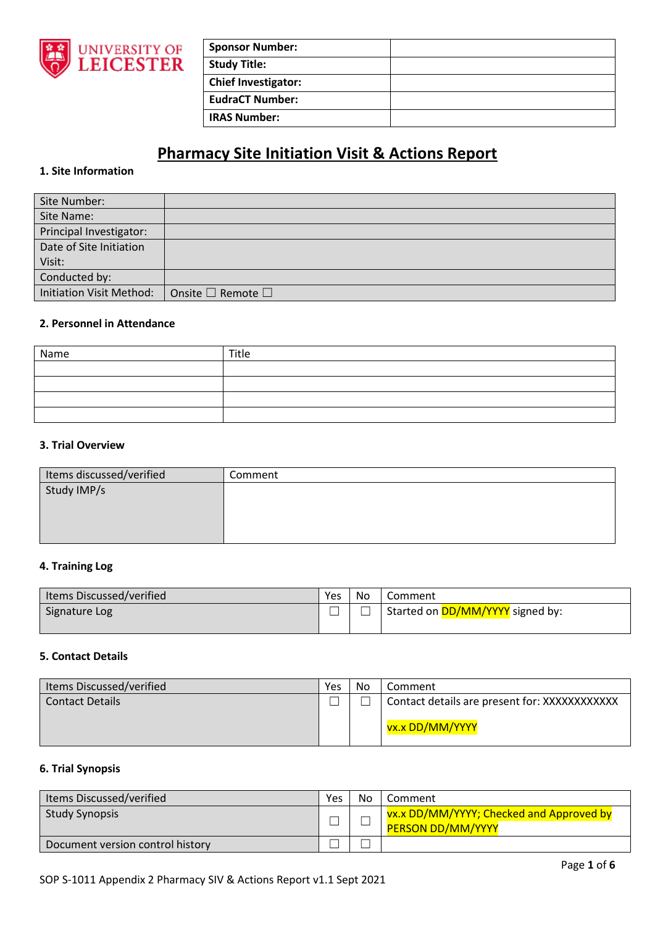

| <b>Sponsor Number:</b>     |  |
|----------------------------|--|
| <b>Study Title:</b>        |  |
| <b>Chief Investigator:</b> |  |
| <b>EudraCT Number:</b>     |  |
| <b>IRAS Number:</b>        |  |

# **Pharmacy Site Initiation Visit & Actions Report**

## **1. Site Information**

| Site Number:             |                                   |
|--------------------------|-----------------------------------|
| Site Name:               |                                   |
| Principal Investigator:  |                                   |
| Date of Site Initiation  |                                   |
| Visit:                   |                                   |
| Conducted by:            |                                   |
| Initiation Visit Method: | Onsite $\square$ Remote $\square$ |

# **2. Personnel in Attendance**

| Name | Title |
|------|-------|
|      |       |
|      |       |
|      |       |
|      |       |

#### **3. Trial Overview**

| Items discussed/verified | Comment |
|--------------------------|---------|
| Study IMP/s              |         |
|                          |         |
|                          |         |
|                          |         |

## **4. Training Log**

| Items Discussed/verified | Yes | - No | Comment                                 |
|--------------------------|-----|------|-----------------------------------------|
| Signature Log            |     |      | Started on <b>DD/MM/YYYY</b> signed by: |
|                          |     |      |                                         |

## **5. Contact Details**

| Items Discussed/verified | Yes | No | Comment                                       |
|--------------------------|-----|----|-----------------------------------------------|
| <b>Contact Details</b>   |     |    | Contact details are present for: XXXXXXXXXXXX |
|                          |     |    | vx.x DD/MM/YYYY                               |

#### **6. Trial Synopsis**

| Items Discussed/verified         | Yes | No | Comment                                                              |
|----------------------------------|-----|----|----------------------------------------------------------------------|
| <b>Study Synopsis</b>            |     |    | vx.x DD/MM/YYYY; Checked and Approved by<br><b>PERSON DD/MM/YYYY</b> |
| Document version control history |     |    |                                                                      |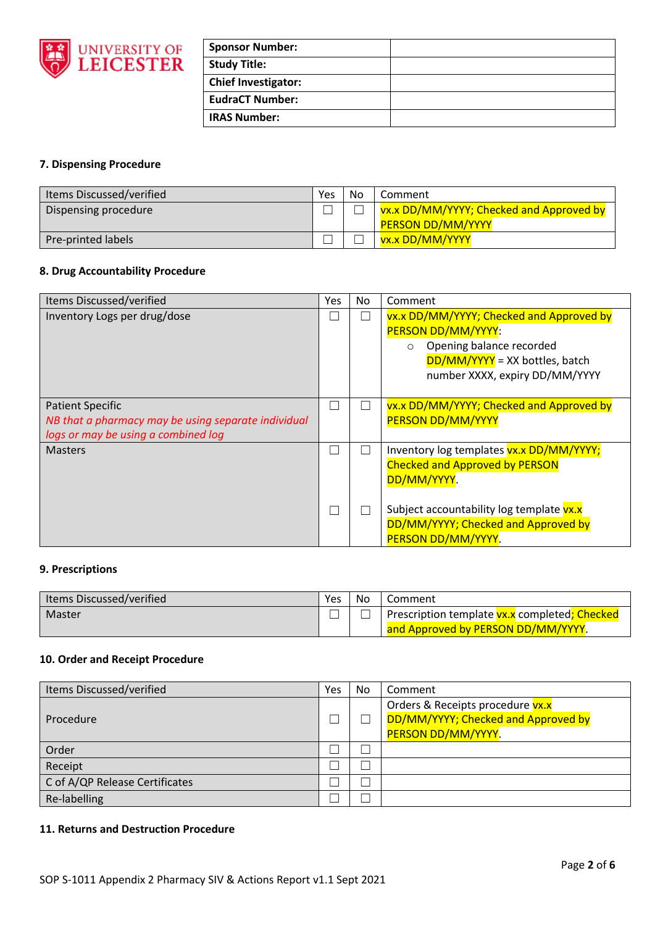

| <b>Sponsor Number:</b>     |  |
|----------------------------|--|
| <b>Study Title:</b>        |  |
| <b>Chief Investigator:</b> |  |
| <b>EudraCT Number:</b>     |  |
| <b>IRAS Number:</b>        |  |

# **7. Dispensing Procedure**

| Items Discussed/verified | Yes | No | Comment                                  |
|--------------------------|-----|----|------------------------------------------|
| Dispensing procedure     |     |    | vx.x DD/MM/YYYY; Checked and Approved by |
|                          |     |    | <b>PERSON DD/MM/YYYY</b>                 |
| Pre-printed labels       |     |    | vx.x DD/MM/YYYY                          |

## **8. Drug Accountability Procedure**

| Items Discussed/verified                                                                                              | <b>Yes</b> | No           | Comment                                                                                                                                                                     |
|-----------------------------------------------------------------------------------------------------------------------|------------|--------------|-----------------------------------------------------------------------------------------------------------------------------------------------------------------------------|
| Inventory Logs per drug/dose                                                                                          |            | $\mathbf{L}$ | vx.x DD/MM/YYYY; Checked and Approved by<br>PERSON DD/MM/YYYY:<br>Opening balance recorded<br>$\circ$<br>$DD/MM/YYYY$ = XX bottles, batch<br>number XXXX, expiry DD/MM/YYYY |
| <b>Patient Specific</b><br>NB that a pharmacy may be using separate individual<br>logs or may be using a combined log |            | M.           | vx.x DD/MM/YYYY; Checked and Approved by<br><b>PERSON DD/MM/YYYY</b>                                                                                                        |
| <b>Masters</b>                                                                                                        |            | $\mathbf{L}$ | Inventory log templates vx.x DD/MM/YYYY;<br><b>Checked and Approved by PERSON</b><br>DD/MM/YYYY.                                                                            |
|                                                                                                                       |            |              | Subject accountability log template vx.x<br>DD/MM/YYYY; Checked and Approved by<br>PERSON DD/MM/YYYY.                                                                       |

#### **9. Prescriptions**

| Items Discussed/verified | Yes | ' No | Comment                                              |
|--------------------------|-----|------|------------------------------------------------------|
| Master                   |     |      | Prescription template <b>vx.x</b> completed; Checked |
|                          |     |      | and Approved by PERSON DD/MM/YYYY.                   |

# **10. Order and Receipt Procedure**

| Items Discussed/verified       | Yes | No | Comment                             |
|--------------------------------|-----|----|-------------------------------------|
|                                |     |    | Orders & Receipts procedure vx.x    |
| Procedure                      |     |    | DD/MM/YYYY; Checked and Approved by |
|                                |     |    | PERSON DD/MM/YYYY.                  |
| Order                          |     |    |                                     |
| Receipt                        |     |    |                                     |
| C of A/QP Release Certificates |     |    |                                     |
| Re-labelling                   |     |    |                                     |

## **11. Returns and Destruction Procedure**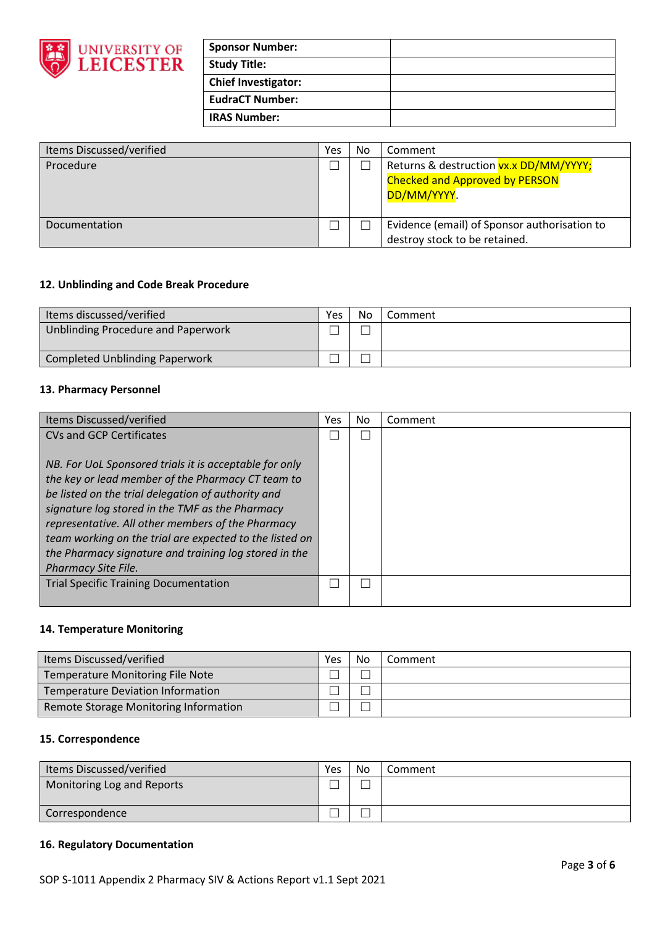

| <b>Sponsor Number:</b> |  |
|------------------------|--|
| Study Title:           |  |
| Chief Investigator:    |  |
| <b>EudraCT Number:</b> |  |
| <b>IRAS Number:</b>    |  |

| Items Discussed/verified | Yes | No | Comment                                                                                               |
|--------------------------|-----|----|-------------------------------------------------------------------------------------------------------|
| Procedure                |     |    | Returns & destruction <b>vx.x DD/MM/YYYY;</b><br><b>Checked and Approved by PERSON</b><br>DD/MM/YYYY. |
|                          |     |    |                                                                                                       |
| Documentation            |     |    | Evidence (email) of Sponsor authorisation to                                                          |
|                          |     |    | destroy stock to be retained.                                                                         |

## **12. Unblinding and Code Break Procedure**

| Items discussed/verified           | Yes | No | Comment |
|------------------------------------|-----|----|---------|
| Unblinding Procedure and Paperwork |     |    |         |
| Completed Unblinding Paperwork     |     |    |         |

## **13. Pharmacy Personnel**

| Items Discussed/verified                                | Yes | No | Comment |
|---------------------------------------------------------|-----|----|---------|
| CVs and GCP Certificates                                |     |    |         |
|                                                         |     |    |         |
| NB. For UoL Sponsored trials it is acceptable for only  |     |    |         |
| the key or lead member of the Pharmacy CT team to       |     |    |         |
| be listed on the trial delegation of authority and      |     |    |         |
| signature log stored in the TMF as the Pharmacy         |     |    |         |
| representative. All other members of the Pharmacy       |     |    |         |
| team working on the trial are expected to the listed on |     |    |         |
| the Pharmacy signature and training log stored in the   |     |    |         |
| <b>Pharmacy Site File.</b>                              |     |    |         |
| <b>Trial Specific Training Documentation</b>            |     |    |         |
|                                                         |     |    |         |

#### **14. Temperature Monitoring**

| Items Discussed/verified                | Yes | No | Comment |
|-----------------------------------------|-----|----|---------|
| <b>Temperature Monitoring File Note</b> |     |    |         |
| Temperature Deviation Information       |     |    |         |
| Remote Storage Monitoring Information   |     |    |         |

#### **15. Correspondence**

| Items Discussed/verified   | Yes | No | Comment |
|----------------------------|-----|----|---------|
| Monitoring Log and Reports |     |    |         |
| Correspondence             |     |    |         |

## **16. Regulatory Documentation**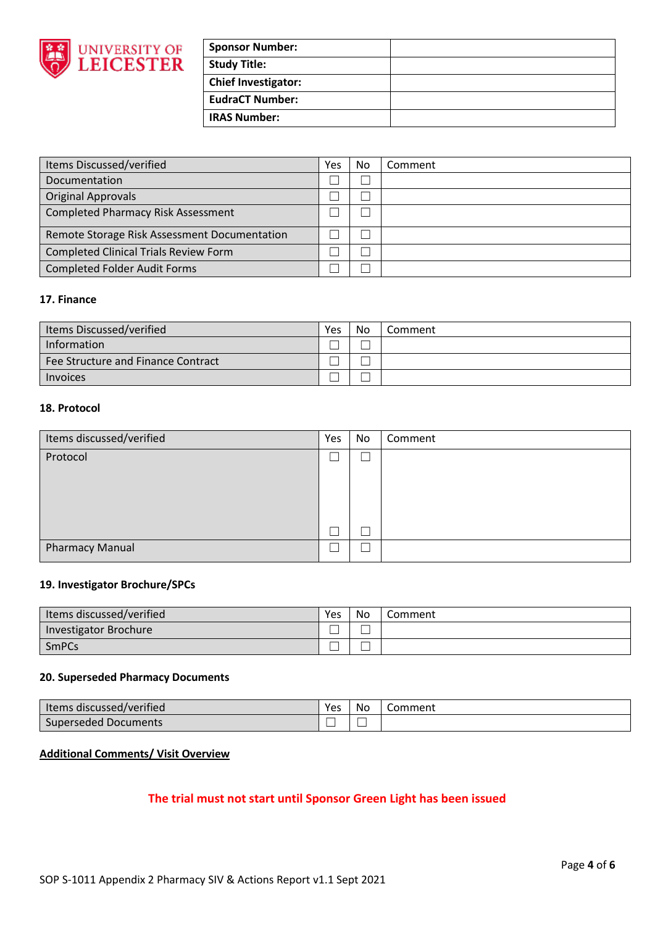

| <b>Sponsor Number:</b>     |  |
|----------------------------|--|
| <b>Study Title:</b>        |  |
| <b>Chief Investigator:</b> |  |
| <b>EudraCT Number:</b>     |  |
| <b>IRAS Number:</b>        |  |

| Items Discussed/verified                     | Yes | No | Comment |
|----------------------------------------------|-----|----|---------|
| Documentation                                |     |    |         |
| <b>Original Approvals</b>                    |     |    |         |
| <b>Completed Pharmacy Risk Assessment</b>    |     |    |         |
| Remote Storage Risk Assessment Documentation |     |    |         |
| <b>Completed Clinical Trials Review Form</b> |     |    |         |
| <b>Completed Folder Audit Forms</b>          |     |    |         |

#### **17. Finance**

| Items Discussed/verified           | Yes | No | Comment |
|------------------------------------|-----|----|---------|
| Information                        |     |    |         |
| Fee Structure and Finance Contract |     |    |         |
| <b>Invoices</b>                    |     |    |         |

#### **18. Protocol**

| Items discussed/verified | Yes | No | Comment |
|--------------------------|-----|----|---------|
| Protocol                 |     |    |         |
|                          |     |    |         |
|                          |     |    |         |
|                          |     |    |         |
|                          |     |    |         |
| <b>Pharmacy Manual</b>   |     |    |         |

## **19. Investigator Brochure/SPCs**

| I Items discussed/verified   | Yes | No | Comment |
|------------------------------|-----|----|---------|
| <b>Investigator Brochure</b> |     |    |         |
| <b>SmPCs</b>                 |     |    |         |

#### **20. Superseded Pharmacy Documents**

| I Items discussed/verified | Yes | No | Comment |
|----------------------------|-----|----|---------|
| Superseded Documents       |     |    |         |

## **Additional Comments/ Visit Overview**

# **The trial must not start until Sponsor Green Light has been issued**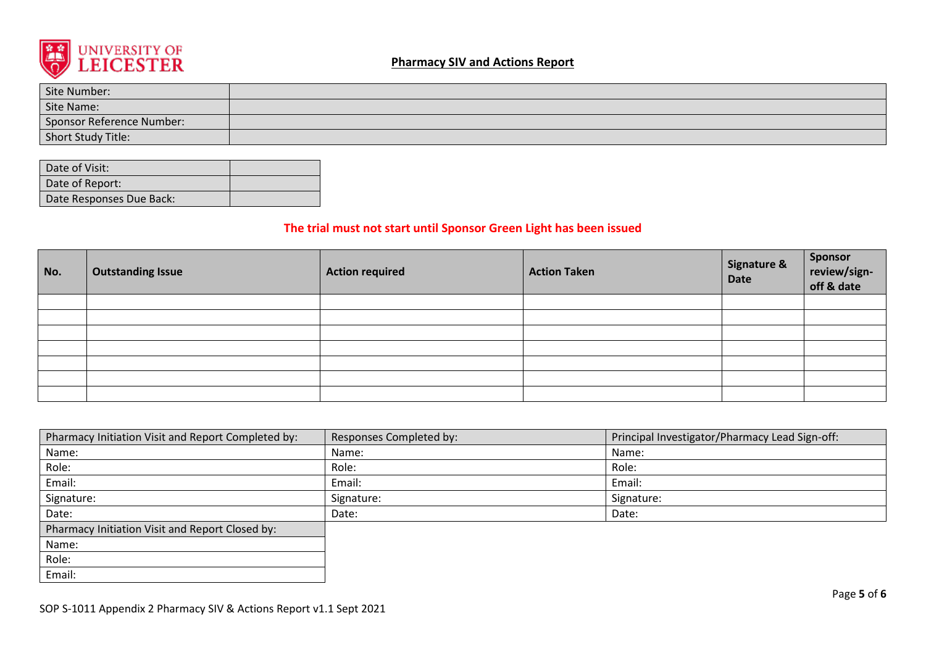

# **Pharmacy SIV and Actions Report**

| Site Number:              |  |
|---------------------------|--|
| Site Name:                |  |
| Sponsor Reference Number: |  |
| Short Study Title:        |  |

| Date of Visit:           |  |
|--------------------------|--|
| Date of Report:          |  |
| Date Responses Due Back: |  |

# **The trial must not start until Sponsor Green Light has been issued**

| No. | <b>Outstanding Issue</b> | <b>Action required</b> | <b>Action Taken</b> | <b>Signature &amp;</b><br>Date | Sponsor<br>review/sign-<br>off & date |
|-----|--------------------------|------------------------|---------------------|--------------------------------|---------------------------------------|
|     |                          |                        |                     |                                |                                       |
|     |                          |                        |                     |                                |                                       |
|     |                          |                        |                     |                                |                                       |
|     |                          |                        |                     |                                |                                       |
|     |                          |                        |                     |                                |                                       |
|     |                          |                        |                     |                                |                                       |
|     |                          |                        |                     |                                |                                       |

| Pharmacy Initiation Visit and Report Completed by: | Responses Completed by: | Principal Investigator/Pharmacy Lead Sign-off: |
|----------------------------------------------------|-------------------------|------------------------------------------------|
| Name:                                              | Name:                   | Name:                                          |
| Role:                                              | Role:                   | Role:                                          |
| Email:                                             | Email:                  | Email:                                         |
| Signature:                                         | Signature:              | Signature:                                     |
| Date:                                              | Date:                   | Date:                                          |
| Pharmacy Initiation Visit and Report Closed by:    |                         |                                                |
| Name:                                              |                         |                                                |
| Role:                                              |                         |                                                |
| Email:                                             |                         |                                                |